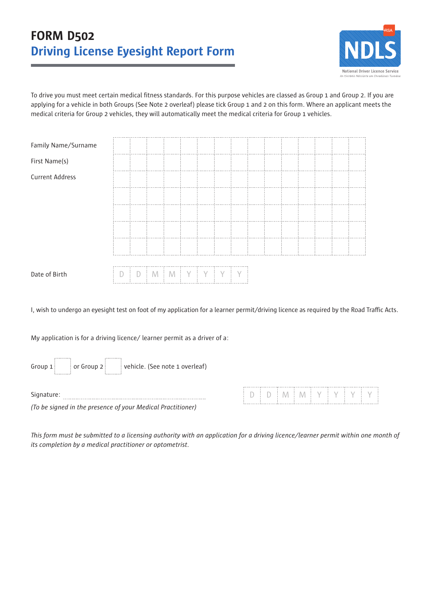# **FORM D502 Driving License Eyesight Report Form**



To drive you must meet certain medical fitness standards. For this purpose vehicles are classed as Group 1 and Group 2. If you are applying for a vehicle in both Groups (See Note 2 overleaf) please tick Group 1 and 2 on this form. Where an applicant meets the medical criteria for Group 2 vehicles, they will automatically meet the medical criteria for Group 1 vehicles.

| Family Name/Surname    |   |   |  |                     |  |   |  |  |  |  |
|------------------------|---|---|--|---------------------|--|---|--|--|--|--|
| First Name(s)          |   |   |  |                     |  |   |  |  |  |  |
| <b>Current Address</b> |   |   |  |                     |  |   |  |  |  |  |
|                        |   |   |  |                     |  |   |  |  |  |  |
|                        |   |   |  |                     |  |   |  |  |  |  |
|                        |   |   |  |                     |  |   |  |  |  |  |
|                        |   |   |  |                     |  |   |  |  |  |  |
|                        |   |   |  |                     |  |   |  |  |  |  |
| Date of Birth          | D | D |  | $M$ $M$ $Y$ $Y$ $Y$ |  | V |  |  |  |  |

I, wish to undergo an eyesight test on foot of my application for a learner permit/driving licence as required by the Road Traffic Acts.

My application is for a driving licence/ learner permit as a driver of a:

| vehicle. (See note 1 overleaf)<br>Group $1$<br>or Group 2<br>------------<br>------------ |  |  |  |  |                                     |
|-------------------------------------------------------------------------------------------|--|--|--|--|-------------------------------------|
| Signature:                                                                                |  |  |  |  | $[ D   D   M   M   Y   Y   Y   Y ]$ |
| (To be signed in the presence of your Medical Practitioner)                               |  |  |  |  |                                     |

This form must be submitted to a licensing authority with an application for a driving licence/learner permit within one month of *its completion by a medical practitioner or optometrist.*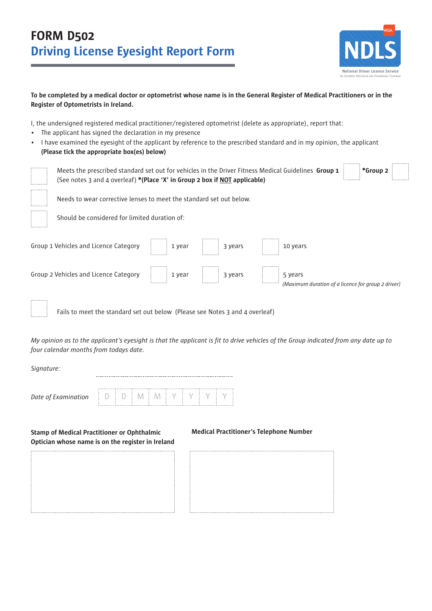# **FORM D502 Driving License Eyesight Report Form**



#### To be completed by a medical doctor or optometrist whose name is in the General Register of Medical Practitioners or in the **Register of Optometrists in Ireland.**

I, the undersigned registered medical practitioner/registered optometrist (delete as appropriate), report that:

- The applicant has signed the declaration in my presence
- I have examined the eyesight of the applicant by reference to the prescribed standard and in my opinion, the applicant **(Please tick the appropriate box(es) below)**

Meets the prescribed standard set out for vehicles in the Driver Fitness Medical Guidelines **Group 1 \*Group 2** (See notes 3 and 4 overleaf) **\*(Place 'X' in Group 2 box if NOT applicable)**

Needs to wear corrective lenses to meet the standard set out below.

Should be considered for limited duration of:

| Group 1 Vehicles and Licence Category | has a more as a more and             | 1 year | he was not too and you want that you want | 3 years |                                                 | 10 years                                                      |
|---------------------------------------|--------------------------------------|--------|-------------------------------------------|---------|-------------------------------------------------|---------------------------------------------------------------|
| Group 2 Vehicles and Licence Category | him as a more to come to the company | 1 year | .                                         | 3 years | for any state and state and state and state and | 5 years<br>(Maximum duration of a licence for group 2 driver) |

Fails to meet the standard set out below (Please see Notes 3 and 4 overleaf)

My opinion as to the applicant's eyesight is that the applicant is fit to drive vehicles of the Group indicated from any date up to *four calendar months from todays date.*

*Signature: Date of Examination* D | D | M | M | Y | Y | Y | Y

### **Stamp of Medical Practitioner or Ophthalmic Optician whose name is on the register in Ireland**

### **Medical Practitioner's Telephone Number**



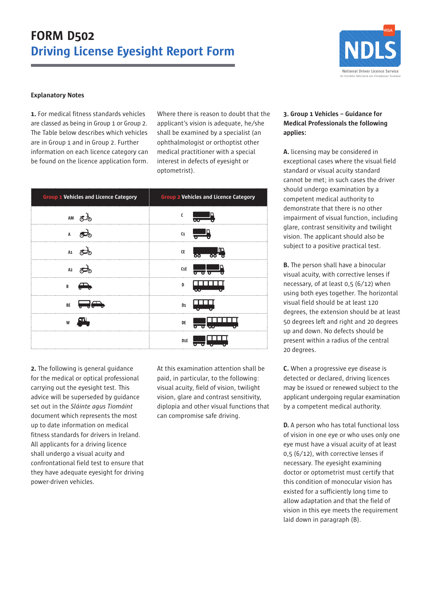

#### **Explanatory Notes**

**1.** For medical fitness standards vehicles are classed as being in Group 1 or Group 2. The Table below describes which vehicles are in Group 1 and in Group 2. Further information on each licence category can be found on the licence application form.

Where there is reason to doubt that the applicant's vision is adequate, he/she shall be examined by a specialist (an ophthalmologist or orthoptist other medical practitioner with a special interest in defects of eyesight or optometrist).

| <b>Group 1 Vehicles and Licence Category</b> | <b>Group 2 Vehicles and Licence Category</b>               |
|----------------------------------------------|------------------------------------------------------------|
| AM あた                                        | c                                                          |
| A                                            | $\mathsf{C} \mathbf{1}$                                    |
| A1 $\overrightarrow{\sigma}$                 | $\frac{1}{\infty}$ $\frac{1}{\infty}$<br>$\mathsf{CE}$     |
| $A2 \quad \overline{CD}$                     | C1E<br>$\overline{\phantom{a}}$ . $\overline{\phantom{a}}$ |
| B                                            | D                                                          |
| Ierri<br>BE                                  | D1                                                         |
| W                                            | DE                                                         |
|                                              | D1E                                                        |

**2.** The following is general guidance for the medical or optical professional carrying out the eyesight test. This advice will be superseded by guidance set out in the *Sláinte agus Tiomáint* document which represents the most up to date information on medical fitness standards for drivers in Ireland. All applicants for a driving licence shall undergo a visual acuity and confrontational field test to ensure that they have adequate eyesight for driving power-driven vehicles.

At this examination attention shall be paid, in particular, to the following: visual acuity, field of vision, twilight vision, glare and contrast sensitivity, diplopia and other visual functions that can compromise safe driving.

#### **3. Group 1 Vehicles – Guidance for Medical Professionals the following applies:**

**A.** licensing may be considered in exceptional cases where the visual field standard or visual acuity standard cannot be met; in such cases the driver should undergo examination by a competent medical authority to demonstrate that there is no other impairment of visual function, including glare, contrast sensitivity and twilight vision. The applicant should also be subject to a positive practical test.

**B.** The person shall have a binocular visual acuity, with corrective lenses if necessary, of at least 0,5 (6/12) when using both eyes together. The horizontal visual field should be at least 120 degrees, the extension should be at least 50 degrees left and right and 20 degrees up and down. No defects should be present within a radius of the central 20 degrees.

**C.** When a progressive eye disease is detected or declared, driving licences may be issued or renewed subject to the applicant undergoing regular examination by a competent medical authority.

**D.** A person who has total functional loss of vision in one eye or who uses only one eye must have a visual acuity of at least 0,5 (6/12), with corrective lenses if necessary. The eyesight examining doctor or optometrist must certify that this condition of monocular vision has existed for a sufficiently long time to allow adaptation and that the field of vision in this eye meets the requirement laid down in paragraph (B).